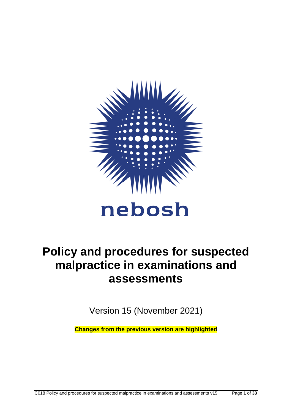

# **Policy and procedures for suspected malpractice in examinations and assessments**

Version 15 (November 2021)

**Changes from the previous version are highlighted**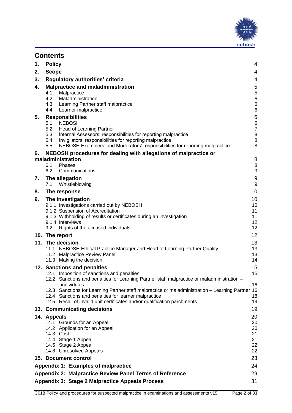

| 1.                                                    | <b>Policy</b>                                                                                                                                                                                                                                                                                                                                                                                   | 4                                                         |  |  |
|-------------------------------------------------------|-------------------------------------------------------------------------------------------------------------------------------------------------------------------------------------------------------------------------------------------------------------------------------------------------------------------------------------------------------------------------------------------------|-----------------------------------------------------------|--|--|
| 2.                                                    | <b>Scope</b>                                                                                                                                                                                                                                                                                                                                                                                    | 4                                                         |  |  |
| 3.                                                    | Regulatory authorities' criteria                                                                                                                                                                                                                                                                                                                                                                | 4                                                         |  |  |
| 4.                                                    | <b>Malpractice and maladministration</b><br>4.1<br>Malpractice<br>4.2<br>Maladministration<br>4.3<br>Learning Partner staff malpractice<br>4.4<br>Learner malpractice                                                                                                                                                                                                                           | 5<br>$\mathbf 5$<br>$\,6$<br>6<br>6                       |  |  |
| 5.                                                    | <b>Responsibilities</b><br>5.1<br><b>NEBOSH</b><br>5.2<br>Head of Learning Partner<br>5.3<br>Internal Assessors' responsibilities for reporting malpractice<br>5.4<br>Invigilators' responsibilities for reporting malpractice<br>NEBOSH Examiners' and Moderators' responsibilities for reporting malpractice<br>5.5                                                                           | 6<br>$\,6$<br>$\boldsymbol{7}$<br>$\,8\,$<br>$\bf 8$<br>8 |  |  |
| 6.                                                    | NEBOSH procedures for dealing with allegations of malpractice or                                                                                                                                                                                                                                                                                                                                |                                                           |  |  |
|                                                       | maladministration<br>6.1<br>Phases<br>6.2<br>Communications                                                                                                                                                                                                                                                                                                                                     | 8<br>$\bf 8$<br>$\boldsymbol{9}$                          |  |  |
| 7.                                                    | The allegation<br>7.1<br>Whistleblowing                                                                                                                                                                                                                                                                                                                                                         | $\boldsymbol{9}$<br>$\boldsymbol{9}$                      |  |  |
| 8.                                                    | The response                                                                                                                                                                                                                                                                                                                                                                                    | 10                                                        |  |  |
| 9.                                                    | The investigation<br>9.1.1 Investigations carried out by NEBOSH<br>9.1.2 Suspension of Accreditation<br>9.1.3 Withholding of results or certificates during an investigation<br>9.1.4 Interviews<br>Rights of the accused individuals<br>9.2                                                                                                                                                    | 10<br>10<br>11<br>11<br>12<br>12                          |  |  |
|                                                       | 10. The report                                                                                                                                                                                                                                                                                                                                                                                  | 12                                                        |  |  |
|                                                       | 11. The decision<br>11.1 NEBOSH Ethical Practice Manager and Head of Learning Partner Quality<br>11.2 Malpractice Review Panel<br>11.3 Making the decision                                                                                                                                                                                                                                      | 13<br>13<br>13<br>14                                      |  |  |
|                                                       | 12. Sanctions and penalties                                                                                                                                                                                                                                                                                                                                                                     | 15                                                        |  |  |
|                                                       | 12.1 Imposition of sanctions and penalties<br>12.2 Sanctions and penalties for Learning Partner staff malpractice or maladministration -<br>individuals<br>12.3 Sanctions for Learning Partner staff malpractice or maladministration - Learning Partner 16<br>12.4 Sanctions and penalties for learner malpractice<br>12.5 Recall of invalid unit certificates and/or qualification parchments | 15<br>16<br>18<br>19                                      |  |  |
|                                                       | 13. Communicating decisions                                                                                                                                                                                                                                                                                                                                                                     | 19                                                        |  |  |
|                                                       | 14. Appeals<br>14.1 Grounds for an Appeal<br>14.2 Application for an Appeal<br>14.3 Cost<br>14.4 Stage 1 Appeal<br>14.5 Stage 2 Appeal<br>14.6 Unresolved Appeals                                                                                                                                                                                                                               | 20<br>20<br>20<br>21<br>21<br>22<br>22                    |  |  |
|                                                       | 15. Document control                                                                                                                                                                                                                                                                                                                                                                            | 23                                                        |  |  |
|                                                       | Appendix 1: Examples of malpractice<br>24                                                                                                                                                                                                                                                                                                                                                       |                                                           |  |  |
|                                                       | <b>Appendix 2: Malpractice Review Panel Terms of Reference</b><br>29                                                                                                                                                                                                                                                                                                                            |                                                           |  |  |
| Appendix 3: Stage 2 Malpractice Appeals Process<br>31 |                                                                                                                                                                                                                                                                                                                                                                                                 |                                                           |  |  |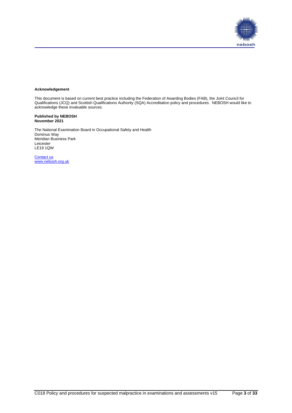

#### **Acknowledgement**

This document is based on current best practice including the Federation of Awarding Bodies (FAB), the Joint Council for Qualifications (JCQ) and Scottish Qualifications Authority (SQA) Accreditation policy and procedures. NEBOSH would like to acknowledge these invaluable sources.

#### **Published by NEBOSH November 2021**

The National Examination Board in Occupational Safety and Health Dominus Way Meridian Business Park Leicester LE19 1QW

[Contact us](https://www.nebosh.org.uk/useful-links/contact-us/) [www.nebosh.org.uk](http://www.nebosh.org.uk/)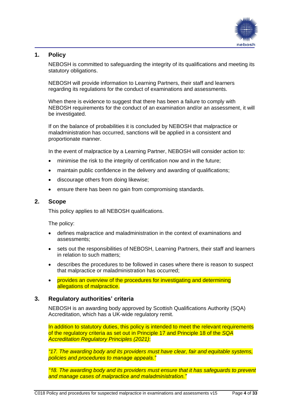

# <span id="page-3-0"></span>**1. Policy**

NEBOSH is committed to safeguarding the integrity of its qualifications and meeting its statutory obligations.

NEBOSH will provide information to Learning Partners, their staff and learners regarding its regulations for the conduct of examinations and assessments.

When there is evidence to suggest that there has been a failure to comply with NEBOSH requirements for the conduct of an examination and/or an assessment, it will be investigated.

If on the balance of probabilities it is concluded by NEBOSH that malpractice or maladministration has occurred, sanctions will be applied in a consistent and proportionate manner.

In the event of malpractice by a Learning Partner, NEBOSH will consider action to:

- minimise the risk to the integrity of certification now and in the future;
- maintain public confidence in the delivery and awarding of qualifications;
- discourage others from doing likewise;
- ensure there has been no gain from compromising standards.

## <span id="page-3-1"></span>**2. Scope**

This policy applies to all NEBOSH qualifications.

The policy:

- defines malpractice and maladministration in the context of examinations and assessments;
- sets out the responsibilities of NEBOSH, Learning Partners, their staff and learners in relation to such matters;
- describes the procedures to be followed in cases where there is reason to suspect that malpractice or maladministration has occurred;
- provides an overview of the procedures for investigating and determining allegations of malpractice.

## <span id="page-3-2"></span>**3. Regulatory authorities' criteria**

NEBOSH is an awarding body approved by Scottish Qualifications Authority (SQA) Accreditation, which has a UK-wide regulatory remit.

In addition to statutory duties, this policy is intended to meet the relevant requirements of the regulatory criteria as set out in Principle 17 and Principle 18 of the *SQA Accreditation Regulatory Principles (2021)*:

*"17. The awarding body and its providers must have clear, fair and equitable systems, policies and procedures to manage appeals."*

*"18. The awarding body and its providers must ensure that it has safeguards to prevent and manage cases of malpractice and maladministration."*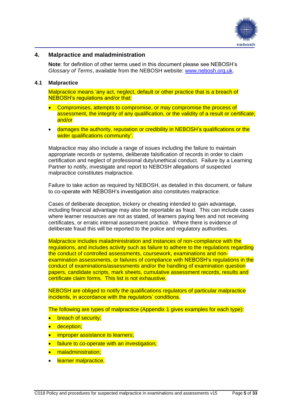

## <span id="page-4-0"></span>**4. Malpractice and maladministration**

**Note**: for definition of other terms used in this document please see NEBOSH's *Glossary of Terms*, available from the NEBOSH website: [www.nebosh.org.uk.](http://www.nebosh.org.uk/)

## <span id="page-4-1"></span>**4.1 Malpractice**

Malpractice means 'any act, neglect, default or other practice that is a breach of NEBOSH's regulations and/or that:

- Compromises, attempts to compromise, or may compromise the process of assessment, the integrity of any qualification, or the validity of a result or certificate; and/or
- damages the authority, reputation or credibility in NEBOSH's qualifications or the wider qualifications community'.

Malpractice may also include a range of issues including the failure to maintain appropriate records or systems, deliberate falsification of records in order to claim certification and neglect of professional duty/unethical conduct. Failure by a Learning Partner to notify, investigate and report to NEBOSH allegations of suspected malpractice constitutes malpractice.

Failure to take action as required by NEBOSH, as detailed in this document, or failure to co-operate with NEBOSH's investigation also constitutes malpractice.

Cases of deliberate deception, trickery or cheating intended to gain advantage, including financial advantage may also be reportable as fraud. This can include cases where learner resources are not as stated, of learners paying fees and not receiving certificates, or erratic internal assessment practice. Where there is evidence of deliberate fraud this will be reported to the police and regulatory authorities.

Malpractice includes maladministration and instances of non-compliance with the regulations, and includes activity such as failure to adhere to the regulations regarding the conduct of controlled assessments, coursework, examinations and nonexamination assessments, or failures of compliance with NEBOSH's regulations in the conduct of examinations/assessments and/or the handling of examination question papers, candidate scripts, mark sheets, cumulative assessment records, results and certificate claim forms. This list is not exhaustive.

NEBOSH are obliged to notify the qualifications regulators of particular malpractice incidents, in accordance with the regulators' conditions.

The following are types of malpractice (Appendix 1 gives examples for each type):

- breach of security;
- **•** deception;
- **•** improper assistance to learners;
- failure to co-operate with an investigation;
- maladministration:
- learner malpractice.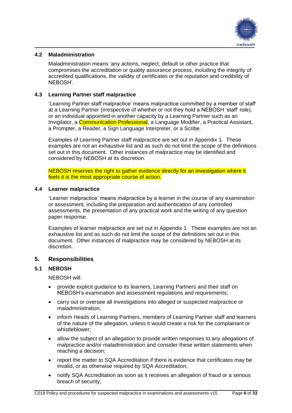

## <span id="page-5-0"></span>**4.2 Maladministration**

Maladministration means 'any actions, neglect, default or other practice that compromises the accreditation or quality assurance process, including the integrity of accredited qualifications, the validity of certificates or the reputation and credibility of NEBOSH'.

## <span id="page-5-1"></span>**4.3 Learning Partner staff malpractice**

'Learning Partner staff malpractice' means malpractice committed by a member of staff at a Learning Partner (irrespective of whether or not they hold a NEBOSH 'staff' role), or an individual appointed in another capacity by a Learning Partner such as an Invigilator, a **Communication Professional**, a Language Modifier, a Practical Assistant, a Prompter, a Reader, a Sign Language Interpreter, or a Scribe.

Examples of Learning Partner staff malpractice are set out in Appendix 1. These examples are not an exhaustive list and as such do not limit the scope of the definitions set out in this document. Other instances of malpractice may be identified and considered by NEBOSH at its discretion.

NEBOSH reserves the right to gather evidence directly for an investigation where it feels it is the most appropriate course of action.

## <span id="page-5-2"></span>**4.4 Learner malpractice**

'Learner malpractice' means malpractice by a learner in the course of any examination or assessment, including the preparation and authentication of any controlled assessments, the presentation of any practical work and the writing of any question paper response.

Examples of learner malpractice are set out in Appendix 1. These examples are not an exhaustive list and as such do not limit the scope of the definitions set out in this document. Other instances of malpractice may be considered by NEBOSH at its discretion.

## <span id="page-5-3"></span>**5. Responsibilities**

## <span id="page-5-4"></span>**5.1 NEBOSH**

NEBOSH will:

- provide explicit guidance to its learners, Learning Partners and their staff on NEBOSH's examination and assessment regulations and requirements;
- carry out or oversee all investigations into alleged or suspected malpractice or maladministration;
- inform Heads of Learning Partners, members of Learning Partner staff and learners of the nature of the allegation, unless it would create a risk for the complainant or whistleblower;
- allow the subject of an allegation to provide written responses to any allegations of malpractice and/or maladministration and consider these written statements when reaching a decision;
- report the matter to SQA Accreditation if there is evidence that certificates may be invalid, or as otherwise required by SQA Accreditation;
- notify SQA Accreditation as soon as it receives an allegation of fraud or a serious breach of security;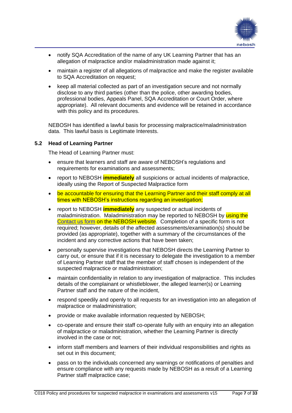

- notify SQA Accreditation of the name of any UK Learning Partner that has an allegation of malpractice and/or maladministration made against it;
- maintain a register of all allegations of malpractice and make the register available to SQA Accreditation on request;
- keep all material collected as part of an investigation secure and not normally disclose to any third parties (other than the police, other awarding bodies, professional bodies, Appeals Panel, SQA Accreditation or Court Order, where appropriate). All relevant documents and evidence will be retained in accordance with this policy and its procedures.

NEBOSH has identified a lawful basis for processing malpractice/maladministration data. This lawful basis is Legitimate Interests.

## <span id="page-6-0"></span>**5.2 Head of Learning Partner**

The Head of Learning Partner must:

- ensure that learners and staff are aware of NEBOSH's regulations and requirements for examinations and assessments;
- report to NEBOSH **immediately** all suspicions or actual incidents of malpractice, ideally using the Report of Suspected Malpractice form
- be accountable for ensuring that the Learning Partner and their staff comply at all times with NEBOSH's instructions regarding an investigation;
- report to NEBOSH **immediately** any suspected or actual incidents of maladministration. Maladministration may be reported to NEBOSH by using the [Contact us form](https://www.nebosh.org.uk/useful-links/contact-us/) on the NEBOSH website. Completion of a specific form is not required; however, details of the affected assessments/examination(s) should be provided (as appropriate), together with a summary of the circumstances of the incident and any corrective actions that have been taken;
- personally supervise investigations that NEBOSH directs the Learning Partner to carry out, or ensure that if it is necessary to delegate the investigation to a member of Learning Partner staff that the member of staff chosen is independent of the suspected malpractice or maladministration;
- maintain confidentiality in relation to any investigation of malpractice. This includes details of the complainant or whistleblower, the alleged learner(s) or Learning Partner staff and the nature of the incident,
- respond speedily and openly to all requests for an investigation into an allegation of malpractice or maladministration;
- provide or make available information requested by NEBOSH;
- co-operate and ensure their staff co-operate fully with an enquiry into an allegation of malpractice or maladministration, whether the Learning Partner is directly involved in the case or not;
- inform staff members and learners of their individual responsibilities and rights as set out in this document;
- pass on to the individuals concerned any warnings or notifications of penalties and ensure compliance with any requests made by NEBOSH as a result of a Learning Partner staff malpractice case;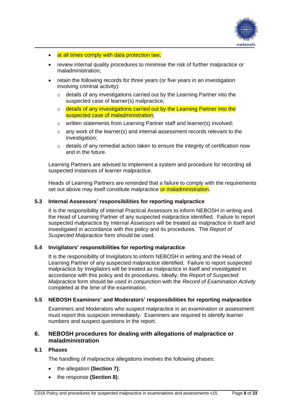

- at all times comply with data protection law;
- review internal quality procedures to minimise the risk of further malpractice or maladministration;
- retain the following records for three years (or five years in an investigation involving criminal activity):
	- o details of any investigations carried out by the Learning Partner into the suspected case of learner(s) malpractice;
	- $\circ$  details of any investigations carried out by the Learning Partner into the suspected case of maladministration:
	- o written statements from Learning Partner staff and learner(s) involved;
	- $\circ$  any work of the learner(s) and internal assessment records relevant to the investigation:
	- $\circ$  details of any remedial action taken to ensure the integrity of certification now and in the future.

Learning Partners are advised to implement a system and procedure for recording all suspected instances of learner malpractice.

Heads of Learning Partners are reminded that a failure to comply with the requirements set out above may itself constitute malpractice or maladministration.

## <span id="page-7-0"></span>**5.3 Internal Assessors' responsibilities for reporting malpractice**

It is the responsibility of internal Practical Assessors to inform NEBOSH in writing and the Head of Learning Partner of any suspected malpractice identified. Failure to report suspected malpractice by Internal Assessors will be treated as malpractice in itself and investigated in accordance with this policy and its procedures. The *Report of Suspected Malpractice* form should be used.

## <span id="page-7-1"></span>**5.4 Invigilators' responsibilities for reporting malpractice**

It is the responsibility of Invigilators to inform NEBOSH in writing and the Head of Learning Partner of any suspected malpractice identified. Failure to report suspected malpractice by Invigilators will be treated as malpractice in itself and investigated in accordance with this policy and its procedures. Ideally, the *Report of Suspected Malpractice* form should be used in conjunction with the *Record of Examination Activity* completed at the time of the examination.

## <span id="page-7-2"></span>**5.5 NEBOSH Examiners' and Moderators' responsibilities for reporting malpractice**

Examiners and Moderators who suspect malpractice in an examination or assessment must report this suspicion immediately. Examiners are required to identify learner numbers and suspect questions in the report.

## <span id="page-7-3"></span>**6. NEBOSH procedures for dealing with allegations of malpractice or maladministration**

## <span id="page-7-4"></span>**6.1 Phases**

The handling of malpractice allegations involves the following phases:

- the allegation **(Section 7)**;
- the response **(Section 8)**;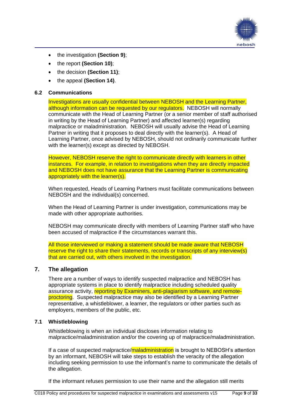

- the investigation **(Section 9)**;
- the report **(Section 10)**;
- the decision **(Section 11)**;
- the appeal **(Section 14)**.

## <span id="page-8-0"></span>**6.2 Communications**

Investigations are usually confidential between NEBOSH and the Learning Partner, although information can be requested by our regulators. NEBOSH will normally communicate with the Head of Learning Partner (or a senior member of staff authorised in writing by the Head of Learning Partner) and affected learner(s) regarding malpractice or maladministration. NEBOSH will usually advise the Head of Learning Partner in writing that it proposes to deal directly with the learner(s). A Head of Learning Partner, once advised by NEBOSH, should not ordinarily communicate further with the learner(s) except as directed by NEBOSH.

However, NEBOSH reserve the right to communicate directly with learners in other instances. For example, in relation to investigations when they are directly impacted and NEBOSH does not have assurance that the Learning Partner is communicating appropriately with the learner(s).

When requested, Heads of Learning Partners must facilitate communications between NEBOSH and the individual(s) concerned.

When the Head of Learning Partner is under investigation, communications may be made with other appropriate authorities.

NEBOSH may communicate directly with members of Learning Partner staff who have been accused of malpractice if the circumstances warrant this.

All those interviewed or making a statement should be made aware that NEBOSH reserve the right to share their statements, records or transcripts of any interview(s) that are carried out, with others involved in the investigation.

# <span id="page-8-1"></span>**7. The allegation**

There are a number of ways to identify suspected malpractice and NEBOSH has appropriate systems in place to identify malpractice including scheduled quality assurance activity, reporting by Examiners, anti-plagiarism software, and remoteproctoring. Suspected malpractice may also be identified by a Learning Partner representative, a whistleblower, a learner, the regulators or other parties such as employers, members of the public, etc.

## <span id="page-8-2"></span>**7.1 Whistleblowing**

Whistleblowing is when an individual discloses information relating to malpractice/maladministration and/or the covering up of malpractice/maladministration.

If a case of suspected malpractice/maladministration is brought to NEBOSH's attention by an informant, NEBOSH will take steps to establish the veracity of the allegation including seeking permission to use the informant's name to communicate the details of the allegation.

If the informant refuses permission to use their name and the allegation still merits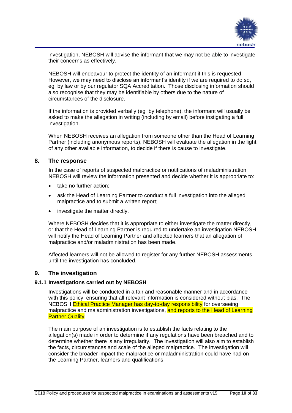

investigation, NEBOSH will advise the informant that we may not be able to investigate their concerns as effectively.

NEBOSH will endeavour to protect the identity of an informant if this is requested. However, we may need to disclose an informant's identity if we are required to do so, eg by law or by our regulator SQA Accreditation. Those disclosing information should also recognise that they may be identifiable by others due to the nature of circumstances of the disclosure.

If the information is provided verbally (eg by telephone), the informant will usually be asked to make the allegation in writing (including by email) before instigating a full investigation.

When NEBOSH receives an allegation from someone other than the Head of Learning Partner (including anonymous reports), NEBOSH will evaluate the allegation in the light of any other available information, to decide if there is cause to investigate.

## <span id="page-9-0"></span>**8. The response**

In the case of reports of suspected malpractice or notifications of maladministration NEBOSH will review the information presented and decide whether it is appropriate to:

- take no further action:
- ask the Head of Learning Partner to conduct a full investigation into the alleged malpractice and to submit a written report;
- investigate the matter directly.

Where NEBOSH decides that it is appropriate to either investigate the matter directly, or that the Head of Learning Partner is required to undertake an investigation NEBOSH will notify the Head of Learning Partner and affected learners that an allegation of malpractice and/or maladministration has been made.

Affected learners will not be allowed to register for any further NEBOSH assessments until the investigation has concluded.

## <span id="page-9-1"></span>**9. The investigation**

## <span id="page-9-2"></span>**9.1.1 Investigations carried out by NEBOSH**

Investigations will be conducted in a fair and reasonable manner and in accordance with this policy, ensuring that all relevant information is considered without bias. The NEBOSH **Ethical Practice Manager has day-to-day responsibility** for overseeing malpractice and maladministration investigations, and reports to the Head of Learning **Partner Quality** 

The main purpose of an investigation is to establish the facts relating to the allegation(s) made in order to determine if any regulations have been breached and to determine whether there is any irregularity. The investigation will also aim to establish the facts, circumstances and scale of the alleged malpractice. The investigation will consider the broader impact the malpractice or maladministration could have had on the Learning Partner, learners and qualifications.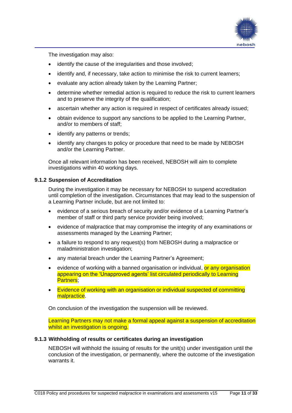

The investigation may also:

- identify the cause of the irregularities and those involved;
- identify and, if necessary, take action to minimise the risk to current learners;
- evaluate any action already taken by the Learning Partner;
- determine whether remedial action is required to reduce the risk to current learners and to preserve the integrity of the qualification;
- ascertain whether any action is required in respect of certificates already issued;
- obtain evidence to support any sanctions to be applied to the Learning Partner, and/or to members of staff;
- identify any patterns or trends;
- identify any changes to policy or procedure that need to be made by NEBOSH and/or the Learning Partner.

Once all relevant information has been received, NEBOSH will aim to complete investigations within 40 working days.

## <span id="page-10-0"></span>**9.1.2 Suspension of Accreditation**

During the investigation it may be necessary for NEBOSH to suspend accreditation until completion of the investigation. Circumstances that may lead to the suspension of a Learning Partner include, but are not limited to:

- evidence of a serious breach of security and/or evidence of a Learning Partner's member of staff or third party service provider being involved;
- evidence of malpractice that may compromise the integrity of any examinations or assessments managed by the Learning Partner;
- a failure to respond to any request(s) from NEBOSH during a malpractice or maladministration investigation;
- any material breach under the Learning Partner's Agreement:
- evidence of working with a banned organisation or individual, or any organisation appearing on the 'Unapproved agents' list circulated periodically to Learning Partners;
- Evidence of working with an organisation or individual suspected of committing malpractice.

On conclusion of the investigation the suspension will be reviewed.

Learning Partners may not make a formal appeal against a suspension of accreditation whilst an investigation is ongoing.

## <span id="page-10-1"></span>**9.1.3 Withholding of results or certificates during an investigation**

NEBOSH will withhold the issuing of results for the unit(s) under investigation until the conclusion of the investigation, or permanently, where the outcome of the investigation warrants it.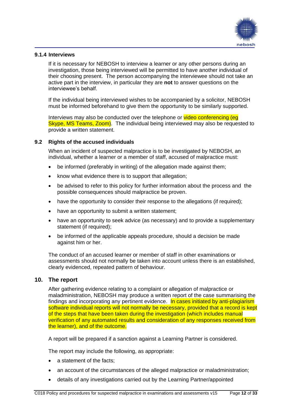

## <span id="page-11-0"></span>**9.1.4 Interviews**

If it is necessary for NEBOSH to interview a learner or any other persons during an investigation, those being interviewed will be permitted to have another individual of their choosing present. The person accompanying the interviewee should not take an active part in the interview, in particular they are **not** to answer questions on the interviewee's behalf.

If the individual being interviewed wishes to be accompanied by a solicitor, NEBOSH must be informed beforehand to give them the opportunity to be similarly supported.

Interviews may also be conducted over the telephone or video conferencing (eq Skype, MS Teams, Zoom). The individual being interviewed may also be requested to provide a written statement.

## <span id="page-11-1"></span>**9.2 Rights of the accused individuals**

When an incident of suspected malpractice is to be investigated by NEBOSH, an individual, whether a learner or a member of staff, accused of malpractice must:

- be informed (preferably in writing) of the allegation made against them;
- know what evidence there is to support that allegation;
- be advised to refer to this policy for further information about the process and the possible consequences should malpractice be proven.
- have the opportunity to consider their response to the allegations (if required);
- have an opportunity to submit a written statement;
- have an opportunity to seek advice (as necessary) and to provide a supplementary statement (if required);
- be informed of the applicable appeals procedure, should a decision be made against him or her.

The conduct of an accused learner or member of staff in other examinations or assessments should not normally be taken into account unless there is an established, clearly evidenced, repeated pattern of behaviour.

## <span id="page-11-2"></span>**10. The report**

After gathering evidence relating to a complaint or allegation of malpractice or maladministration, NEBOSH may produce a written report of the case summarising the findings and incorporating any pertinent evidence. In cases initiated by anti-plagiarism software individual reports will not normally be necessary, provided that a record is kept of the steps that have been taken during the investigation (which includes manual verification of any automated results and consideration of any responses received from the learner), and of the outcome.

A report will be prepared if a sanction against a Learning Partner is considered.

The report may include the following, as appropriate:

- a statement of the facts:
- an account of the circumstances of the alleged malpractice or maladministration;
- details of any investigations carried out by the Learning Partner/appointed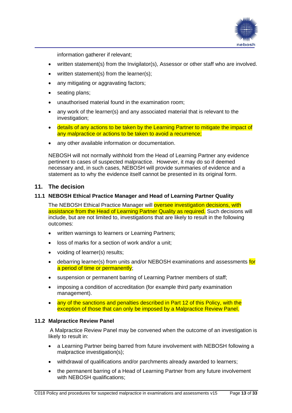

information gatherer if relevant;

- written statement(s) from the Invigilator(s), Assessor or other staff who are involved.
- written statement(s) from the learner(s):
- any mitigating or aggravating factors;
- seating plans;
- unauthorised material found in the examination room;
- any work of the learner(s) and any associated material that is relevant to the investigation;
- details of any actions to be taken by the Learning Partner to mitigate the impact of any malpractice or actions to be taken to avoid a recurrence;
- any other available information or documentation.

NEBOSH will not normally withhold from the Head of Learning Partner any evidence pertinent to cases of suspected malpractice. However, it may do so if deemed necessary and, in such cases, NEBOSH will provide summaries of evidence and a statement as to why the evidence itself cannot be presented in its original form.

## <span id="page-12-0"></span>**11. The decision**

## <span id="page-12-1"></span>**11.1 NEBOSH Ethical Practice Manager and Head of Learning Partner Quality**

The NEBOSH Ethical Practice Manager will oversee investigation decisions, with assistance from the Head of Learning Partner Quality as required. Such decisions will include, but are not limited to, investigations that are likely to result in the following outcomes:

- written warnings to learners or Learning Partners;
- loss of marks for a section of work and/or a unit;
- voiding of learner(s) results;
- debarring learner(s) from units and/or NEBOSH examinations and assessments for a period of time or permanently;
- suspension or permanent barring of Learning Partner members of staff;
- imposing a condition of accreditation (for example third party examination management).
- any of the sanctions and penalties described in Part 12 of this Policy, with the exception of those that can only be imposed by a Malpractice Review Panel.

## <span id="page-12-2"></span>**11.2 Malpractice Review Panel**

A Malpractice Review Panel may be convened when the outcome of an investigation is likely to result in:

- a Learning Partner being barred from future involvement with NEBOSH following a malpractice investigation(s);
- withdrawal of qualifications and/or parchments already awarded to learners;
- the permanent barring of a Head of Learning Partner from any future involvement with NEBOSH qualifications;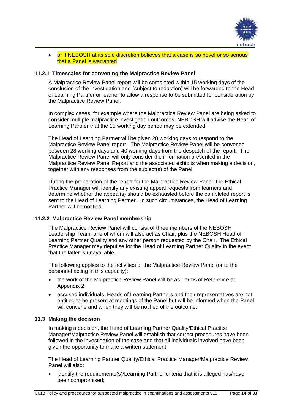

## • or if NEBOSH at its sole discretion believes that a case is so novel or so serious that a Panel is warranted.

## **11.2.1 Timescales for convening the Malpractice Review Panel**

A Malpractice Review Panel report will be completed within 15 working days of the conclusion of the investigation and (subject to redaction) will be forwarded to the Head of Learning Partner or learner to allow a response to be submitted for consideration by the Malpractice Review Panel.

In complex cases, for example where the Malpractice Review Panel are being asked to consider multiple malpractice investigation outcomes, NEBOSH will advise the Head of Learning Partner that the 15 working day period may be extended.

The Head of Learning Partner will be given 28 working days to respond to the Malpractice Review Panel report. The Malpractice Review Panel will be convened between 28 working days and 40 working days from the despatch of the report. The Malpractice Review Panel will only consider the information presented in the Malpractice Review Panel Report and the associated exhibits when making a decision, together with any responses from the subject(s) of the Panel

During the preparation of the report for the Malpractice Review Panel, the Ethical Practice Manager will identify any existing appeal requests from learners and determine whether the appeal(s) should be exhausted before the completed report is sent to the Head of Learning Partner. In such circumstances, the Head of Learning Partner will be notified.

## **11.2.2 Malpractice Review Panel membership**

The Malpractice Review Panel will consist of three members of the NEBOSH Leadership Team, one of whom will also act as Chair; plus the NEBOSH Head of Learning Partner Quality and any other person requested by the Chair. The Ethical Practice Manager may deputise for the Head of Learning Partner Quality in the event that the latter is unavailable.

The following applies to the activities of the Malpractice Review Panel (or to the personnel acting in this capacity):

- the work of the Malpractice Review Panel will be as Terms of Reference at Appendix 2;
- accused individuals, Heads of Learning Partners and their representatives are not entitled to be present at meetings of the Panel but will be informed when the Panel will convene and when they will be notified of the outcome.

#### <span id="page-13-0"></span>**11.3 Making the decision**

In making a decision, the Head of Learning Partner Quality/Ethical Practice Manager/Malpractice Review Panel will establish that correct procedures have been followed in the investigation of the case and that all individuals involved have been given the opportunity to make a written statement.

The Head of Learning Partner Quality/Ethical Practice Manager/Malpractice Review Panel will also:

• identify the requirements(s)/Learning Partner criteria that it is alleged has/have been compromised;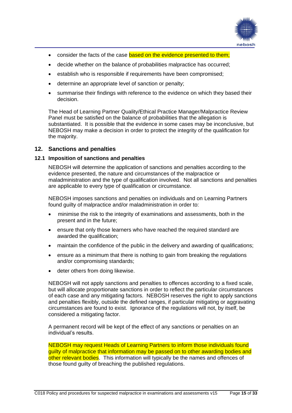

- consider the facts of the case based on the evidence presented to them;
- decide whether on the balance of probabilities malpractice has occurred;
- establish who is responsible if requirements have been compromised:
- determine an appropriate level of sanction or penalty;
- summarise their findings with reference to the evidence on which they based their decision.

The Head of Learning Partner Quality/Ethical Practice Manager/Malpractice Review Panel must be satisfied on the balance of probabilities that the allegation is substantiated. It is possible that the evidence in some cases may be inconclusive, but NEBOSH may make a decision in order to protect the integrity of the qualification for the majority.

## <span id="page-14-0"></span>**12. Sanctions and penalties**

## <span id="page-14-1"></span>**12.1 Imposition of sanctions and penalties**

NEBOSH will determine the application of sanctions and penalties according to the evidence presented, the nature and circumstances of the malpractice or maladministration and the type of qualification involved. Not all sanctions and penalties are applicable to every type of qualification or circumstance.

NEBOSH imposes sanctions and penalties on individuals and on Learning Partners found guilty of malpractice and/or maladministration in order to:

- minimise the risk to the integrity of examinations and assessments, both in the present and in the future;
- ensure that only those learners who have reached the required standard are awarded the qualification;
- maintain the confidence of the public in the delivery and awarding of qualifications;
- ensure as a minimum that there is nothing to gain from breaking the regulations and/or compromising standards;
- deter others from doing likewise.

NEBOSH will not apply sanctions and penalties to offences according to a fixed scale, but will allocate proportionate sanctions in order to reflect the particular circumstances of each case and any mitigating factors. NEBOSH reserves the right to apply sanctions and penalties flexibly, outside the defined ranges, if particular mitigating or aggravating circumstances are found to exist. Ignorance of the regulations will not, by itself, be considered a mitigating factor.

A permanent record will be kept of the effect of any sanctions or penalties on an individual's results.

NEBOSH may request Heads of Learning Partners to inform those individuals found guilty of malpractice that information may be passed on to other awarding bodies and other relevant bodies. This information will typically be the names and offences of those found guilty of breaching the published regulations.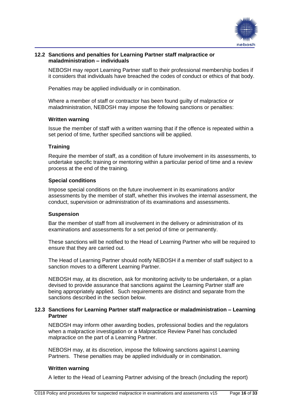

## <span id="page-15-0"></span>**12.2 Sanctions and penalties for Learning Partner staff malpractice or maladministration – individuals**

NEBOSH may report Learning Partner staff to their professional membership bodies if it considers that individuals have breached the codes of conduct or ethics of that body.

Penalties may be applied individually or in combination.

Where a member of staff or contractor has been found guilty of malpractice or maladministration, NEBOSH may impose the following sanctions or penalties:

## **Written warning**

Issue the member of staff with a written warning that if the offence is repeated within a set period of time, further specified sanctions will be applied.

## **Training**

Require the member of staff, as a condition of future involvement in its assessments, to undertake specific training or mentoring within a particular period of time and a review process at the end of the training.

## **Special conditions**

Impose special conditions on the future involvement in its examinations and/or assessments by the member of staff, whether this involves the internal assessment, the conduct, supervision or administration of its examinations and assessments.

## **Suspension**

Bar the member of staff from all involvement in the delivery or administration of its examinations and assessments for a set period of time or permanently.

These sanctions will be notified to the Head of Learning Partner who will be required to ensure that they are carried out.

The Head of Learning Partner should notify NEBOSH if a member of staff subject to a sanction moves to a different Learning Partner.

NEBOSH may, at its discretion, ask for monitoring activity to be undertaken, or a plan devised to provide assurance that sanctions against the Learning Partner staff are being appropriately applied. Such requirements are distinct and separate from the sanctions described in the section below.

## <span id="page-15-1"></span>**12.3 Sanctions for Learning Partner staff malpractice or maladministration – Learning Partner**

NEBOSH may inform other awarding bodies, professional bodies and the regulators when a malpractice investigation or a Malpractice Review Panel has concluded malpractice on the part of a Learning Partner.

NEBOSH may, at its discretion, impose the following sanctions against Learning Partners. These penalties may be applied individually or in combination.

## **Written warning**

A letter to the Head of Learning Partner advising of the breach (including the report)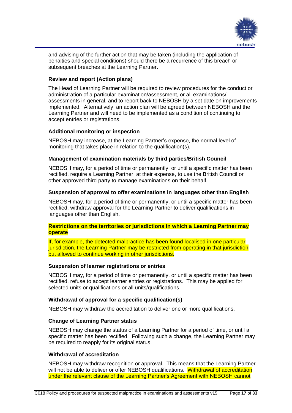

and advising of the further action that may be taken (including the application of penalties and special conditions) should there be a recurrence of this breach or subsequent breaches at the Learning Partner.

## **Review and report (Action plans)**

The Head of Learning Partner will be required to review procedures for the conduct or administration of a particular examination/assessment, or all examinations/ assessments in general, and to report back to NEBOSH by a set date on improvements implemented. Alternatively, an action plan will be agreed between NEBOSH and the Learning Partner and will need to be implemented as a condition of continuing to accept entries or registrations.

## **Additional monitoring or inspection**

NEBOSH may increase, at the Learning Partner's expense, the normal level of monitoring that takes place in relation to the qualification(s).

## **Management of examination materials by third parties/British Council**

NEBOSH may, for a period of time or permanently, or until a specific matter has been rectified, require a Learning Partner, at their expense, to use the British Council or other approved third party to manage examinations on their behalf.

## **Suspension of approval to offer examinations in languages other than English**

NEBOSH may, for a period of time or permanently, or until a specific matter has been rectified, withdraw approval for the Learning Partner to deliver qualifications in languages other than English.

## **Restrictions on the territories or jurisdictions in which a Learning Partner may operate**

If, for example, the detected malpractice has been found localised in one particular jurisdiction, the Learning Partner may be restricted from operating in that jurisdiction but allowed to continue working in other jurisdictions.

## **Suspension of learner registrations or entries**

NEBOSH may, for a period of time or permanently, or until a specific matter has been rectified, refuse to accept learner entries or registrations. This may be applied for selected units or qualifications or all units/qualifications.

## **Withdrawal of approval for a specific qualification(s)**

NEBOSH may withdraw the accreditation to deliver one or more qualifications.

## **Change of Learning Partner status**

NEBOSH may change the status of a Learning Partner for a period of time, or until a specific matter has been rectified. Following such a change, the Learning Partner may be required to reapply for its original status.

## **Withdrawal of accreditation**

NEBOSH may withdraw recognition or approval. This means that the Learning Partner will not be able to deliver or offer NEBOSH qualifications. Withdrawal of accreditation under the relevant clause of the Learning Partner's Agreement with NEBOSH cannot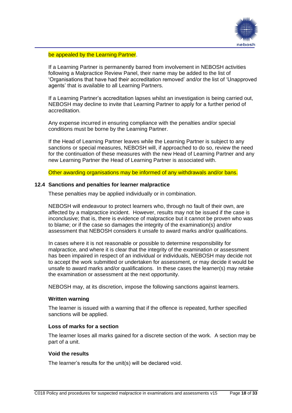

#### be appealed by the Learning Partner.

If a Learning Partner is permanently barred from involvement in NEBOSH activities following a Malpractice Review Panel, their name may be added to the list of 'Organisations that have had their accreditation removed' and/or the list of 'Unapproved agents' that is available to all Learning Partners.

If a Learning Partner's accreditation lapses whilst an investigation is being carried out, NEBOSH may decline to invite that Learning Partner to apply for a further period of accreditation.

Any expense incurred in ensuring compliance with the penalties and/or special conditions must be borne by the Learning Partner.

If the Head of Learning Partner leaves while the Learning Partner is subject to any sanctions or special measures, NEBOSH will, if approached to do so, review the need for the continuation of these measures with the new Head of Learning Partner and any new Learning Partner the Head of Learning Partner is associated with.

Other awarding organisations may be informed of any withdrawals and/or bans.

## <span id="page-17-0"></span>**12.4 Sanctions and penalties for learner malpractice**

These penalties may be applied individually or in combination.

NEBOSH will endeavour to protect learners who, through no fault of their own, are affected by a malpractice incident. However, results may not be issued if the case is inconclusive; that is, there is evidence of malpractice but it cannot be proven who was to blame; or if the case so damages the integrity of the examination(s) and/or assessment that NEBOSH considers it unsafe to award marks and/or qualifications.

In cases where it is not reasonable or possible to determine responsibility for malpractice, and where it is clear that the integrity of the examination or assessment has been impaired in respect of an individual or individuals, NEBOSH may decide not to accept the work submitted or undertaken for assessment, or may decide it would be unsafe to award marks and/or qualifications. In these cases the learner(s) may retake the examination or assessment at the next opportunity.

NEBOSH may, at its discretion, impose the following sanctions against learners.

#### **Written warning**

The learner is issued with a warning that if the offence is repeated, further specified sanctions will be applied.

## **Loss of marks for a section**

The learner loses all marks gained for a discrete section of the work. A section may be part of a unit.

#### **Void the results**

The learner's results for the unit(s) will be declared void.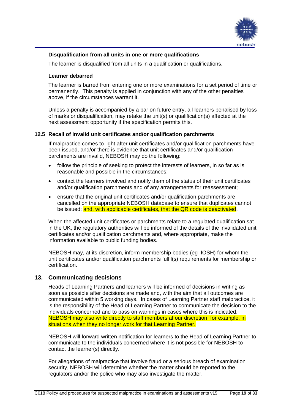

## **Disqualification from all units in one or more qualifications**

The learner is disqualified from all units in a qualification or qualifications.

## **Learner debarred**

The learner is barred from entering one or more examinations for a set period of time or permanently. This penalty is applied in conjunction with any of the other penalties above, if the circumstances warrant it.

Unless a penalty is accompanied by a bar on future entry, all learners penalised by loss of marks or disqualification, may retake the unit(s) or qualification(s) affected at the next assessment opportunity if the specification permits this.

## <span id="page-18-0"></span>**12.5 Recall of invalid unit certificates and/or qualification parchments**

If malpractice comes to light after unit certificates and/or qualification parchments have been issued, and/or there is evidence that unit certificates and/or qualification parchments are invalid, NEBOSH may do the following:

- follow the principle of seeking to protect the interests of learners, in so far as is reasonable and possible in the circumstances;
- contact the learners involved and notify them of the status of their unit certificates and/or qualification parchments and of any arrangements for reassessment;
- ensure that the original unit certificates and/or qualification parchments are cancelled on the appropriate NEBOSH database to ensure that duplicates cannot be issued; and, with applicable certificates, that the QR code is deactivated.

When the affected unit certificates or parchments relate to a regulated qualification sat in the UK, the regulatory authorities will be informed of the details of the invalidated unit certificates and/or qualification parchments and, where appropriate, make the information available to public funding bodies.

NEBOSH may, at its discretion, inform membership bodies (eg IOSH) for whom the unit certificates and/or qualification parchments fulfil(s) requirements for membership or certification.

# <span id="page-18-1"></span>**13. Communicating decisions**

Heads of Learning Partners and learners will be informed of decisions in writing as soon as possible after decisions are made and, with the aim that all outcomes are communicated within 5 working days. In cases of Learning Partner staff malpractice, it is the responsibility of the Head of Learning Partner to communicate the decision to the individuals concerned and to pass on warnings in cases where this is indicated. NEBOSH may also write directly to staff members at our discretion, for example, in situations when they no longer work for that Learning Partner.

NEBOSH will forward written notification for learners to the Head of Learning Partner to communicate to the individuals concerned where it is not possible for NEBOSH to contact the learner(s) directly.

For allegations of malpractice that involve fraud or a serious breach of examination security, NEBOSH will determine whether the matter should be reported to the regulators and/or the police who may also investigate the matter.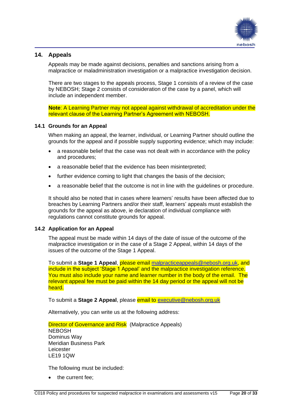

# <span id="page-19-0"></span>**14. Appeals**

Appeals may be made against decisions, penalties and sanctions arising from a malpractice or maladministration investigation or a malpractice investigation decision.

There are two stages to the appeals process, Stage 1 consists of a review of the case by NEBOSH; Stage 2 consists of consideration of the case by a panel, which will include an independent member.

**Note**: A Learning Partner may not appeal against withdrawal of accreditation under the relevant clause of the Learning Partner's Agreement with NEBOSH.

## <span id="page-19-1"></span>**14.1 Grounds for an Appeal**

When making an appeal, the learner, individual, or Learning Partner should outline the grounds for the appeal and if possible supply supporting evidence; which may include:

- a reasonable belief that the case was not dealt with in accordance with the policy and procedures;
- a reasonable belief that the evidence has been misinterpreted:
- further evidence coming to light that changes the basis of the decision;
- a reasonable belief that the outcome is not in line with the guidelines or procedure.

It should also be noted that in cases where learners' results have been affected due to breaches by Learning Partners and/or their staff, learners' appeals must establish the grounds for the appeal as above, ie declaration of individual compliance with regulations cannot constitute grounds for appeal.

#### <span id="page-19-2"></span>**14.2 Application for an Appeal**

The appeal must be made within 14 days of the date of issue of the outcome of the malpractice investigation or in the case of a Stage 2 Appeal, within 14 days of the issues of the outcome of the Stage 1 Appeal.

To submit a **Stage 1 Appeal**, please email [malpracticeappeals@nebosh.org.uk,](mailto:malpracticeappeals@nebosh.org.uk) and include in the subject 'Stage 1 Appeal' and the malpractice investigation reference. You must also include your name and learner number in the body of the email. The relevant appeal fee must be paid within the 14 day period or the appeal will not be heard.

To submit a **Stage 2 Appeal**, please email to [executive@nebosh.org.uk](mailto:executive@nebosh.org.uk)

Alternatively, you can write us at the following address:

**Director of Governance and Risk** (Malpractice Appeals) **NEBOSH** Dominus Way Meridian Business Park Leicester LE19 1QW

The following must be included:

the current fee;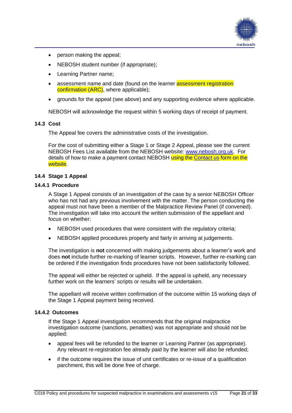

- person making the appeal;
- NEBOSH student number (if appropriate);
- Learning Partner name;
- assessment name and date (found on the learner **assessment registration** confirmation (ARC), where applicable);
- grounds for the appeal (see above) and any supporting evidence where applicable.

NEBOSH will acknowledge the request within 5 working days of receipt of payment.

## <span id="page-20-0"></span>**14.3 Cost**

The Appeal fee covers the administrative costs of the investigation.

For the cost of submitting either a Stage 1 or Stage 2 Appeal, please see the current NEBOSH Fees List available from the NEBOSH website: [www.nebosh.org.uk.](http://www.nebosh.org.uk/) For details of how to make a payment contact NEBOSH using the [Contact us](https://www.nebosh.org.uk/useful-links/contact-us/) form on the website.

## <span id="page-20-1"></span>**14.4 Stage 1 Appeal**

#### **14.4.1 Procedure**

A Stage 1 Appeal consists of an investigation of the case by a senior NEBOSH Officer who has not had any previous involvement with the matter. The person conducting the appeal must not have been a member of the Malpractice Review Panel (if convened). The investigation will take into account the written submission of the appellant and focus on whether:

- NEBOSH used procedures that were consistent with the regulatory criteria;
- NEBOSH applied procedures properly and fairly in arriving at judgements.

The investigation is **not** concerned with making judgements about a learner's work and does **not** include further re-marking of learner scripts. However, further re-marking can be ordered if the investigation finds procedures have not been satisfactorily followed.

The appeal will either be rejected or upheld. If the appeal is upheld, any necessary further work on the learners' scripts or results will be undertaken.

The appellant will receive written confirmation of the outcome within 15 working days of the Stage 1 Appeal payment being received.

## **14.4.2 Outcomes**

If the Stage 1 Appeal investigation recommends that the original malpractice investigation outcome (sanctions, penalties) was not appropriate and should not be applied:

- appeal fees will be refunded to the learner or Learning Partner (as appropriate). Any relevant re-registration fee already paid by the learner will also be refunded;
- if the outcome requires the issue of unit certificates or re-issue of a qualification parchment, this will be done free of charge.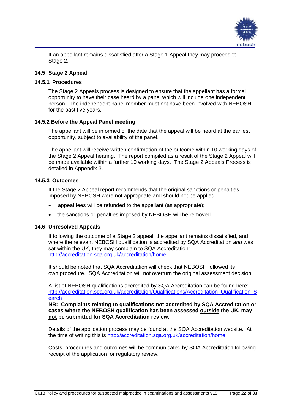

If an appellant remains dissatisfied after a Stage 1 Appeal they may proceed to Stage 2.

## <span id="page-21-0"></span>**14.5 Stage 2 Appeal**

## **14.5.1 Procedures**

The Stage 2 Appeals process is designed to ensure that the appellant has a formal opportunity to have their case heard by a panel which will include one independent person. The independent panel member must not have been involved with NEBOSH for the past five years.

## **14.5.2 Before the Appeal Panel meeting**

The appellant will be informed of the date that the appeal will be heard at the earliest opportunity, subject to availability of the panel.

The appellant will receive written confirmation of the outcome within 10 working days of the Stage 2 Appeal hearing. The report compiled as a result of the Stage 2 Appeal will be made available within a further 10 working days. The Stage 2 Appeals Process is detailed in Appendix 3.

## **14.5.3 Outcomes**

If the Stage 2 Appeal report recommends that the original sanctions or penalties imposed by NEBOSH were not appropriate and should not be applied:

- appeal fees will be refunded to the appellant (as appropriate);
- the sanctions or penalties imposed by NEBOSH will be removed.

## <span id="page-21-1"></span>**14.6 Unresolved Appeals**

If following the outcome of a Stage 2 appeal, the appellant remains dissatisfied, and where the relevant NEBOSH qualification is accredited by SQA Accreditation *and* was sat within the UK, they may complain to SQA Accreditation: [http://accreditation.sqa.org.uk/accreditation/home.](http://accreditation.sqa.org.uk/accreditation/home)

It should be noted that SQA Accreditation will check that NEBOSH followed its own procedure. SQA Accreditation will not overturn the original assessment decision.

A list of NEBOSH qualifications accredited by SQA Accreditation can be found here: [http://accreditation.sqa.org.uk/accreditation/Qualifications/Accreditation\\_Qualification\\_S](http://accreditation.sqa.org.uk/accreditation/Qualifications/Accreditation_Qualification_Search) [earch](http://accreditation.sqa.org.uk/accreditation/Qualifications/Accreditation_Qualification_Search)

**NB: Complaints relating to qualifications not accredited by SQA Accreditation or cases where the NEBOSH qualification has been assessed outside the UK, may not be submitted for SQA Accreditation review.**

Details of the application process may be found at the SQA Accreditation website. At the time of writing this is<http://accreditation.sqa.org.uk/accreditation/home>

Costs, procedures and outcomes will be communicated by SQA Accreditation following receipt of the application for regulatory review.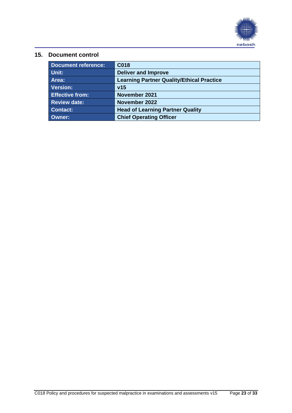

# <span id="page-22-0"></span>**15. Document control**

| <b>Document reference:</b> | C018                                             |
|----------------------------|--------------------------------------------------|
| Unit:                      | <b>Deliver and Improve</b>                       |
| Area:                      | <b>Learning Partner Quality/Ethical Practice</b> |
| Version:                   | v15                                              |
| <b>Effective from:</b>     | November 2021                                    |
| <b>Review date:</b>        | November 2022                                    |
| <b>Contact:</b>            | <b>Head of Learning Partner Quality</b>          |
| <b>Owner:</b>              | <b>Chief Operating Officer</b>                   |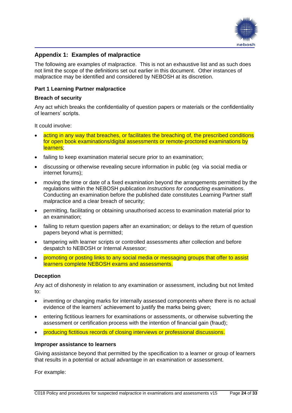

# <span id="page-23-0"></span>**Appendix 1: Examples of malpractice**

The following are examples of malpractice. This is not an exhaustive list and as such does not limit the scope of the definitions set out earlier in this document. Other instances of malpractice may be identified and considered by NEBOSH at its discretion.

## **Part 1 Learning Partner malpractice**

#### **Breach of security**

Any act which breaks the confidentiality of question papers or materials or the confidentiality of learners' scripts.

It could involve:

- acting in any way that breaches, or facilitates the breaching of, the prescribed conditions for open book examinations/digital assessments or remote-proctored examinations by learners:
- failing to keep examination material secure prior to an examination;
- discussing or otherwise revealing secure information in public (eg via social media or internet forums);
- moving the time or date of a fixed examination beyond the arrangements permitted by the regulations within the NEBOSH publication *Instructions for conducting examinations*. Conducting an examination before the published date constitutes Learning Partner staff malpractice and a clear breach of security;
- permitting, facilitating or obtaining unauthorised access to examination material prior to an examination;
- failing to return question papers after an examination; or delays to the return of question papers beyond what is permitted;
- tampering with learner scripts or controlled assessments after collection and before despatch to NEBOSH or Internal Assessor;
- promoting or posting links to any social media or messaging groups that offer to assist learners complete NEBOSH exams and assessments.

#### **Deception**

Any act of dishonesty in relation to any examination or assessment, including but not limited to:

- inventing or changing marks for internally assessed components where there is no actual evidence of the learners' achievement to justify the marks being given;
- entering fictitious learners for examinations or assessments, or otherwise subverting the assessment or certification process with the intention of financial gain (fraud);
- producing fictitious records of closing interviews or professional discussions.

#### **Improper assistance to learners**

Giving assistance beyond that permitted by the specification to a learner or group of learners that results in a potential or actual advantage in an examination or assessment.

For example: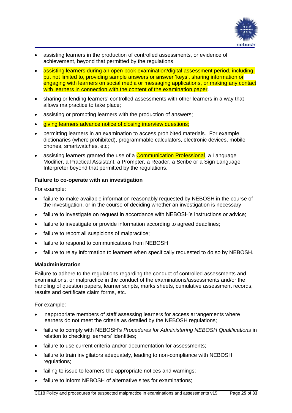

- assisting learners in the production of controlled assessments, or evidence of achievement, beyond that permitted by the regulations;
- assisting learners during an open book examination/digital assessment period, including, but not limited to, providing sample answers or answer 'keys', sharing information or engaging with learners on social media or messaging applications, or making any contact with learners in connection with the content of the examination paper.
- sharing or lending learners' controlled assessments with other learners in a way that allows malpractice to take place;
- assisting or prompting learners with the production of answers;
- giving learners advance notice of closing interview questions;
- permitting learners in an examination to access prohibited materials. For example, dictionaries (where prohibited), programmable calculators, electronic devices, mobile phones, smartwatches, etc;
- assisting learners granted the use of a **Communication Professional**, a Language Modifier, a Practical Assistant, a Prompter, a Reader, a Scribe or a Sign Language Interpreter beyond that permitted by the regulations.

## **Failure to co-operate with an investigation**

For example:

- failure to make available information reasonably requested by NEBOSH in the course of the investigation, or in the course of deciding whether an investigation is necessary;
- failure to investigate on request in accordance with NEBOSH's instructions or advice;
- failure to investigate or provide information according to agreed deadlines;
- failure to report all suspicions of malpractice;
- failure to respond to communications from NEBOSH
- failure to relay information to learners when specifically requested to do so by NEBOSH.

#### **Maladministration**

Failure to adhere to the regulations regarding the conduct of controlled assessments and examinations, or malpractice in the conduct of the examinations/assessments and/or the handling of question papers, learner scripts, marks sheets, cumulative assessment records, results and certificate claim forms, etc.

For example:

- inappropriate members of staff assessing learners for access arrangements where learners do not meet the criteria as detailed by the NEBOSH regulations;
- failure to comply with NEBOSH's *Procedures for Administering NEBOSH Qualifications* in relation to checking learners' identities;
- failure to use current criteria and/or documentation for assessments;
- failure to train invigilators adequately, leading to non-compliance with NEBOSH regulations;
- failing to issue to learners the appropriate notices and warnings;
- failure to inform NEBOSH of alternative sites for examinations;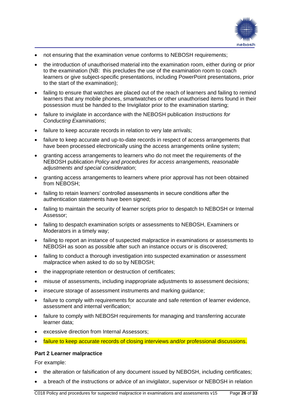

- not ensuring that the examination venue conforms to NEBOSH requirements;
- the introduction of unauthorised material into the examination room, either during or prior to the examination (NB: this precludes the use of the examination room to coach learners or give subject-specific presentations, including PowerPoint presentations, prior to the start of the examination);
- failing to ensure that watches are placed out of the reach of learners and failing to remind learners that any mobile phones, smartwatches or other unauthorised items found in their possession must be handed to the Invigilator prior to the examination starting;
- failure to invigilate in accordance with the NEBOSH publication *Instructions for Conducting Examinations*;
- failure to keep accurate records in relation to very late arrivals:
- failure to keep accurate and up-to-date records in respect of access arrangements that have been processed electronically using the access arrangements online system;
- granting access arrangements to learners who do not meet the requirements of the NEBOSH publication *Policy and procedures for access arrangements, reasonable adjustments and special consideration*;
- granting access arrangements to learners where prior approval has not been obtained from NEBOSH;
- failing to retain learners' controlled assessments in secure conditions after the authentication statements have been signed;
- failing to maintain the security of learner scripts prior to despatch to NEBOSH or Internal Assessor;
- failing to despatch examination scripts or assessments to NEBOSH, Examiners or Moderators in a timely way;
- failing to report an instance of suspected malpractice in examinations or assessments to NEBOSH as soon as possible after such an instance occurs or is discovered;
- failing to conduct a thorough investigation into suspected examination or assessment malpractice when asked to do so by NEBOSH;
- the inappropriate retention or destruction of certificates;
- misuse of assessments, including inappropriate adjustments to assessment decisions;
- insecure storage of assessment instruments and marking guidance;
- failure to comply with requirements for accurate and safe retention of learner evidence, assessment and internal verification;
- failure to comply with NEBOSH requirements for managing and transferring accurate learner data;
- excessive direction from Internal Assessors:
- failure to keep accurate records of closing interviews and/or professional discussions.

## **Part 2 Learner malpractice**

For example:

- the alteration or falsification of any document issued by NEBOSH, including certificates;
- a breach of the instructions or advice of an invigilator, supervisor or NEBOSH in relation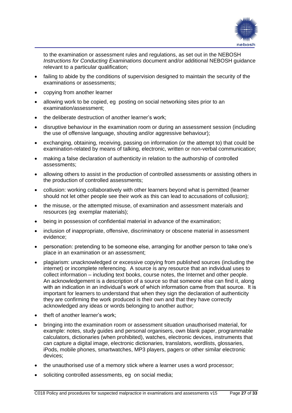

to the examination or assessment rules and regulations, as set out in the NEBOSH *Instructions for Conducting Examinations* document and/or additional NEBOSH guidance relevant to a particular qualification;

- failing to abide by the conditions of supervision designed to maintain the security of the examinations or assessments;
- copying from another learner
- allowing work to be copied, eg posting on social networking sites prior to an examination/assessment;
- the deliberate destruction of another learner's work;
- disruptive behaviour in the examination room or during an assessment session (including the use of offensive language, shouting and/or aggressive behaviour);
- exchanging, obtaining, receiving, passing on information (or the attempt to) that could be examination-related by means of talking, electronic, written or non-verbal communication;
- making a false declaration of authenticity in relation to the authorship of controlled assessments;
- allowing others to assist in the production of controlled assessments or assisting others in the production of controlled assessments;
- collusion: working collaboratively with other learners beyond what is permitted (learner should not let other people see their work as this can lead to accusations of collusion);
- the misuse, or the attempted misuse, of examination and assessment materials and resources (eg exemplar materials);
- being in possession of confidential material in advance of the examination;
- inclusion of inappropriate, offensive, discriminatory or obscene material in assessment evidence;
- personation: pretending to be someone else, arranging for another person to take one's place in an examination or an assessment;
- plagiarism: unacknowledged or excessive copying from published sources (including the internet) or incomplete referencing. A source is any resource that an individual uses to collect information – including text books, course notes, the Internet and other people. An acknowledgement is a description of a source so that someone else can find it, along with an indication in an individual's work of which information came from that source. It is important for learners to understand that when they sign the declaration of authenticity they are confirming the work produced is their own and that they have correctly acknowledged any ideas or words belonging to another author;
- theft of another learner's work;
- bringing into the examination room or assessment situation unauthorised material, for example: notes, study guides and personal organisers, own blank paper, programmable calculators, dictionaries (when prohibited), watches, electronic devices, instruments that can capture a digital image, electronic dictionaries, translators, wordlists, glossaries, iPods, mobile phones, smartwatches, MP3 players, pagers or other similar electronic devices;
- the unauthorised use of a memory stick where a learner uses a word processor;
- soliciting controlled assessments, eg on social media;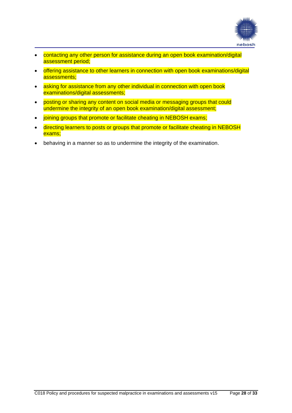

- contacting any other person for assistance during an open book examination/digital assessment period;
- offering assistance to other learners in connection with open book examinations/digital assessments;
- asking for assistance from any other individual in connection with open book examinations/digital assessments;
- posting or sharing any content on social media or messaging groups that could undermine the integrity of an open book examination/digital assessment;
- joining groups that promote or facilitate cheating in NEBOSH exams;
- directing learners to posts or groups that promote or facilitate cheating in NEBOSH exams;
- behaving in a manner so as to undermine the integrity of the examination.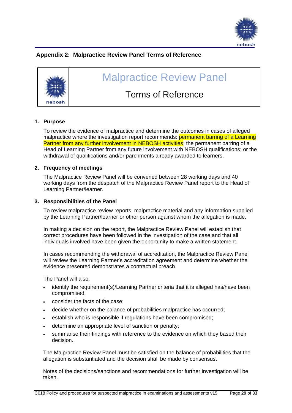

# <span id="page-28-0"></span>**Appendix 2: Malpractice Review Panel Terms of Reference**



# Malpractice Review Panel

# Terms of Reference

## **1. Purpose**

To review the evidence of malpractice and determine the outcomes in cases of alleged malpractice where the investigation report recommends: permanent barring of a Learning Partner from any further involvement in NEBOSH activities; the permanent barring of a Head of Learning Partner from any future involvement with NEBOSH qualifications; or the withdrawal of qualifications and/or parchments already awarded to learners.

## **2. Frequency of meetings**

The Malpractice Review Panel will be convened between 28 working days and 40 working days from the despatch of the Malpractice Review Panel report to the Head of Learning Partner/learner.

## **3. Responsibilities of the Panel**

To review malpractice review reports, malpractice material and any information supplied by the Learning Partner/learner or other person against whom the allegation is made.

In making a decision on the report, the Malpractice Review Panel will establish that correct procedures have been followed in the investigation of the case and that all individuals involved have been given the opportunity to make a written statement.

In cases recommending the withdrawal of accreditation, the Malpractice Review Panel will review the Learning Partner's accreditation agreement and determine whether the evidence presented demonstrates a contractual breach.

The Panel will also:

- identify the requirement(s)/Learning Partner criteria that it is alleged has/have been compromised;
- consider the facts of the case;
- decide whether on the balance of probabilities malpractice has occurred;
- establish who is responsible if regulations have been compromised;
- determine an appropriate level of sanction or penalty;
- summarise their findings with reference to the evidence on which they based their decision.

The Malpractice Review Panel must be satisfied on the balance of probabilities that the allegation is substantiated and the decision shall be made by consensus.

Notes of the decisions/sanctions and recommendations for further investigation will be taken.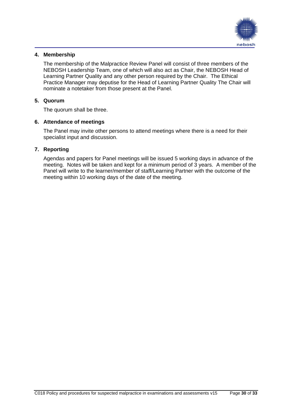

# **4. Membership**

The membership of the Malpractice Review Panel will consist of three members of the NEBOSH Leadership Team, one of which will also act as Chair, the NEBOSH Head of Learning Partner Quality and any other person required by the Chair. The Ethical Practice Manager may deputise for the Head of Learning Partner Quality The Chair will nominate a notetaker from those present at the Panel.

## **5. Quorum**

The quorum shall be three.

## **6. Attendance of meetings**

The Panel may invite other persons to attend meetings where there is a need for their specialist input and discussion.

## **7. Reporting**

Agendas and papers for Panel meetings will be issued 5 working days in advance of the meeting. Notes will be taken and kept for a minimum period of 3 years. A member of the Panel will write to the learner/member of staff/Learning Partner with the outcome of the meeting within 10 working days of the date of the meeting.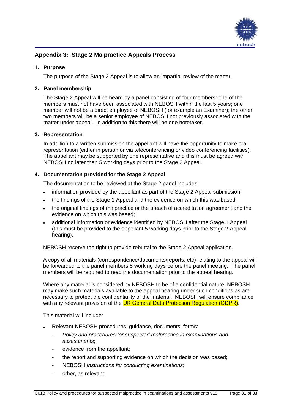

# <span id="page-30-0"></span>**Appendix 3: Stage 2 Malpractice Appeals Process**

## **1. Purpose**

The purpose of the Stage 2 Appeal is to allow an impartial review of the matter.

## **2. Panel membership**

The Stage 2 Appeal will be heard by a panel consisting of four members: one of the members must not have been associated with NEBOSH within the last 5 years; one member will not be a direct employee of NEBOSH (for example an Examiner); the other two members will be a senior employee of NEBOSH not previously associated with the matter under appeal. In addition to this there will be one notetaker.

## **3. Representation**

In addition to a written submission the appellant will have the opportunity to make oral representation (either in person or via teleconferencing or video conferencing facilities). The appellant may be supported by one representative and this must be agreed with NEBOSH no later than 5 working days prior to the Stage 2 Appeal.

## **4. Documentation provided for the Stage 2 Appeal**

The documentation to be reviewed at the Stage 2 panel includes:

- information provided by the appellant as part of the Stage 2 Appeal submission;
- the findings of the Stage 1 Appeal and the evidence on which this was based;
- the original findings of malpractice or the breach of accreditation agreement and the evidence on which this was based;
- additional information or evidence identified by NEBOSH after the Stage 1 Appeal (this must be provided to the appellant 5 working days prior to the Stage 2 Appeal hearing).

NEBOSH reserve the right to provide rebuttal to the Stage 2 Appeal application.

A copy of all materials (correspondence/documents/reports, etc) relating to the appeal will be forwarded to the panel members 5 working days before the panel meeting. The panel members will be required to read the documentation prior to the appeal hearing.

Where any material is considered by NEBOSH to be of a confidential nature, NEBOSH may make such materials available to the appeal hearing under such conditions as are necessary to protect the confidentiality of the material. NEBOSH will ensure compliance with any relevant provision of the UK General Data Protection Regulation (GDPR).

This material will include:

- Relevant NEBOSH procedures, guidance, documents, forms:
	- *Policy and procedures for suspected malpractice in examinations and assessments*;
	- evidence from the appellant:
	- the report and supporting evidence on which the decision was based;
	- NEBOSH *Instructions for conducting examinations*;
	- other, as relevant;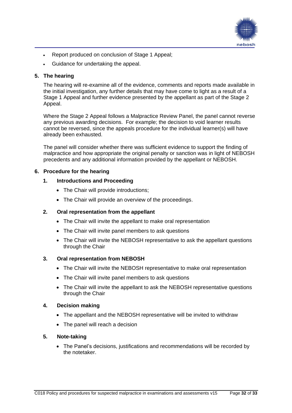

- Report produced on conclusion of Stage 1 Appeal;
- Guidance for undertaking the appeal.

## **5. The hearing**

The hearing will re-examine all of the evidence, comments and reports made available in the initial investigation, any further details that may have come to light as a result of a Stage 1 Appeal and further evidence presented by the appellant as part of the Stage 2 Appeal.

Where the Stage 2 Appeal follows a Malpractice Review Panel, the panel cannot reverse any previous awarding decisions. For example; the decision to void learner results cannot be reversed, since the appeals procedure for the individual learner(s) will have already been exhausted.

The panel will consider whether there was sufficient evidence to support the finding of malpractice and how appropriate the original penalty or sanction was in light of NEBOSH precedents and any additional information provided by the appellant or NEBOSH.

## **6. Procedure for the hearing**

## **1. Introductions and Proceeding**

- The Chair will provide introductions:
- The Chair will provide an overview of the proceedings.

## **2. Oral representation from the appellant**

- The Chair will invite the appellant to make oral representation
- The Chair will invite panel members to ask questions
- The Chair will invite the NEBOSH representative to ask the appellant questions through the Chair

## **3. Oral representation from NEBOSH**

- The Chair will invite the NEBOSH representative to make oral representation
- The Chair will invite panel members to ask questions
- The Chair will invite the appellant to ask the NEBOSH representative questions through the Chair

## **4. Decision making**

- The appellant and the NEBOSH representative will be invited to withdraw
- The panel will reach a decision

## **5. Note-taking**

• The Panel's decisions, justifications and recommendations will be recorded by the notetaker.